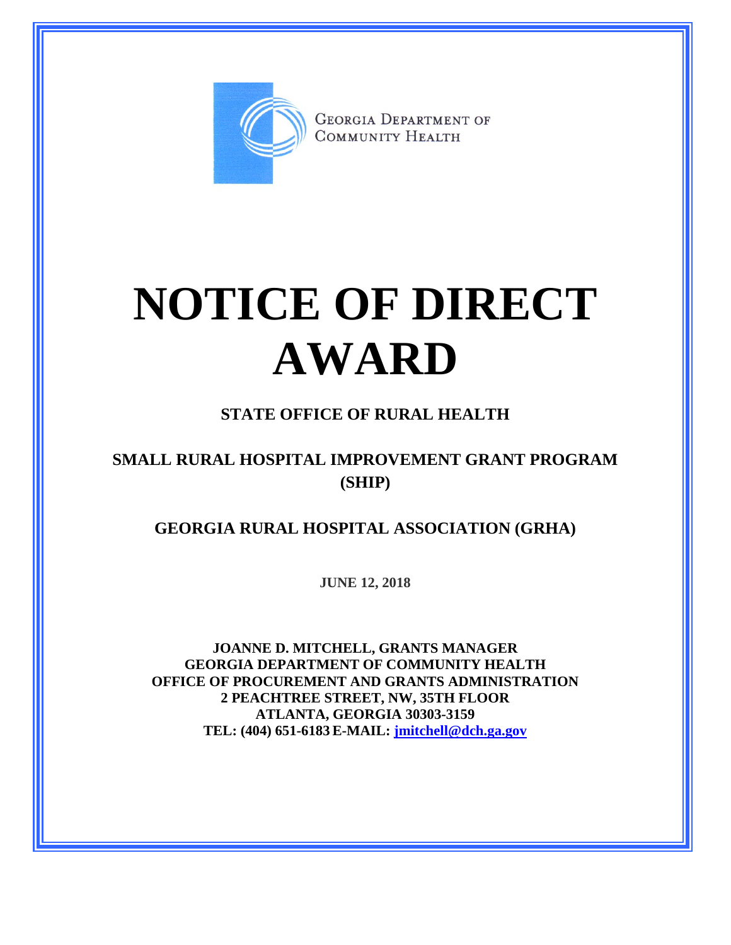

**GEORGIA DEPARTMENT OF** COMMUNITY HEALTH

## **NOTICE OF DIRECT AWARD**

## **STATE OFFICE OF RURAL HEALTH**

## **SMALL RURAL HOSPITAL IMPROVEMENT GRANT PROGRAM (SHIP)**

**GEORGIA RURAL HOSPITAL ASSOCIATION (GRHA)**

**JUNE 12, 2018**

**JOANNE D. MITCHELL, GRANTS MANAGER GEORGIA DEPARTMENT OF COMMUNITY HEALTH OFFICE OF PROCUREMENT AND GRANTS ADMINISTRATION 2 PEACHTREE STREET, NW, 35TH FLOOR ATLANTA, GEORGIA 30303-3159 TEL: (404) 651-6183 E-MAIL: [jmitchell@dch.ga.gov](mailto:awatson@dch.ga.gov)**